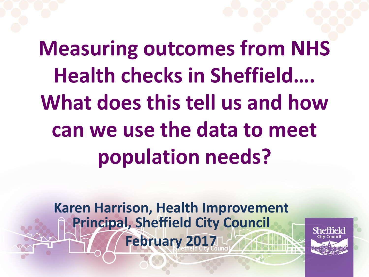**Measuring outcomes from NHS Health checks in Sheffield…. What does this tell us and how can we use the data to meet population needs?**

**Karen Harrison, Health Improvement Principal, Sheffield City Council February 2017**

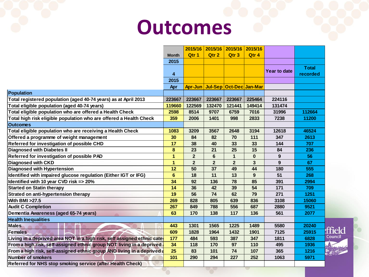# **Outcomes**

|                                                                         |                |                |                | 2015/16 2015/16 2015/16         | 2015/16      |                |                                   |
|-------------------------------------------------------------------------|----------------|----------------|----------------|---------------------------------|--------------|----------------|-----------------------------------|
|                                                                         | <b>Month</b>   | Qtr 1          | Qtr 2          | Qtr <sub>3</sub>                | Qtr 4        |                |                                   |
|                                                                         | 2015           |                |                |                                 |              |                |                                   |
|                                                                         |                |                |                |                                 |              | Year to date   | <b>Total</b>                      |
|                                                                         | 4              |                |                |                                 |              |                | recorded                          |
|                                                                         | 2015           |                |                |                                 |              |                |                                   |
|                                                                         | <b>Apr</b>     |                |                | Apr-Jun Jul-Sep Oct-Dec Jan-Mar |              |                |                                   |
| Population                                                              |                |                |                |                                 |              |                |                                   |
| Total registered population (aged 40-74 years) as at April 2013         | 223667         | 223667         | 223667         | 223667                          | 225464       | 224116         |                                   |
| Total eligible population (aged 40-74 years)                            | 119660         | 122569         | 132470         | 121441                          | 149414       | 131474         |                                   |
| Total eligible population who are offered a Health Check                | 2598           | 8514           | 9707           | 6759                            | 7016         | 31996          | 112664                            |
| Total high risk eligible population who are offered a Health Check      | 359            | 2006           | 1401           | 998                             | 2833         | 7238           | 11200                             |
| <b>Outcomes</b>                                                         |                |                |                |                                 |              |                |                                   |
| Total eligible population who are receiving a Health Check              | 1083           | 3209           | 3567           | 2648                            | 3194         | 12618          | 46524                             |
| Offered a programme of weight management                                | 30             | 84             | 82             | 70                              | 111          | 347            | 2613                              |
| Referred for investigation of possible CHD                              | 17             | 38             | 40             | 33                              | 33           | 144            | 707                               |
| <b>Diagnosed with Diabetes II</b>                                       | 8              | 23             | 21             | 25                              | 15           | 84             | 236                               |
| Referred for investigation of possible PAD                              | 1              | $\overline{2}$ | 6              | $\mathbf{1}$                    | $\bf{0}$     | 9              | 56                                |
| Diagnosed with CKD                                                      | 1              | $\overline{2}$ | $\overline{2}$ | $\overline{2}$                  | $\mathbf{3}$ | $\overline{9}$ | 67                                |
| Diagnosed with Hypertension                                             | 12             | 50             | 37             | 49                              | 44           | 180            | 555                               |
| Identified with impaired glucose regulation (Either IGT or IFG)         | $6\phantom{a}$ | 18             | 11             | 13                              | 9            | 51             | 268                               |
| Identified with 10 year CVD risk => 20%                                 | 34             | 92             | 136            | 78                              | 85           | 391            | 2994                              |
| <b>Started on Statin therapy</b>                                        | 14             | 36             | 42             | 39                              | 54           | 171            | 709                               |
| Strated on anti-hypertension therapy                                    | 19             | 56             | 74             | 62                              | 79           | 271            | 1251                              |
| With BMI > 27.5                                                         | 269            | 828            | 805            | 639                             | 836          | 3108           | 15060                             |
| <b>Audit C Completion</b>                                               | 267            | 849            | 788            | 556                             | 687          | 2880           | 9521                              |
| Dementia Awareness (aged 65-74 years)                                   | 63             | 170            | 138            | 117                             | 136          | 561            | 2077                              |
| <b>Health Inequalities</b>                                              |                |                |                |                                 |              |                |                                   |
| <b>Males</b>                                                            | 443            | 1301           | 1565           | 1225                            | 1489         | 5580           | 20240                             |
| <b>Females</b>                                                          | 609            | 1828           | 1964           | 1432                            | 1901         | 7125           | ffield<br>25915                   |
| Living in a deprived area NOT in a high risk, self assigned ethnic cate | 177            | 484            | 593            | 387                             | 347          | 1811           | Council<br>6828                   |
| From a high risk, self-assigned ethnic group NOT living in a deprived   | 34             | 118            | 170            | 97                              | 110          | 495            | 1936                              |
| From a high risk, self-assigned ethnic group AND living in a deprived a | 25             | 83             | 101            | 74                              | 107          | 365            | 1216<br>。<br>『 <sub>』</sub> 第120年 |
| <b>Number of smokers</b>                                                | 101            | 290            | 294            | 227                             | 252          | 1063           | 5971                              |
| Referred for NHS stop smoking service (after Health Check)              |                |                |                |                                 |              |                |                                   |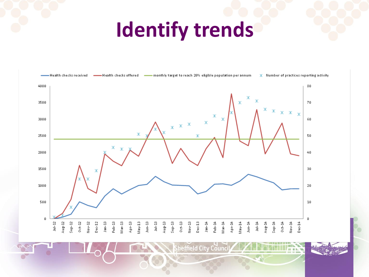# **Identify trends**



heffield City Counci

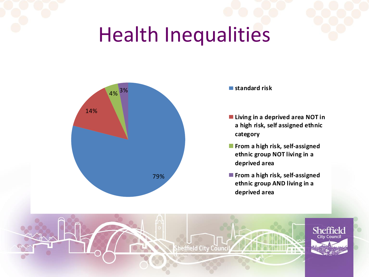# Health Inequalities



- **Living in a deprived area NOT in a high risk, self assigned ethnic category**
- **From a high risk, self-assigned ethnic group NOT living in a deprived area**
- **From a high risk, self-assigned ethnic group AND living in a deprived area**

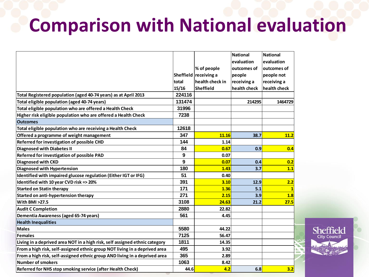## **Comparison with National evaluation**

Sheffield **City Council** 

|                                                                             |                  |                  | <b>National</b> | <b>National</b> |
|-----------------------------------------------------------------------------|------------------|------------------|-----------------|-----------------|
|                                                                             |                  |                  | evaluation      | evaluation      |
|                                                                             |                  | % of people      | outcomes of     | outcomes of     |
|                                                                             | <b>Sheffield</b> | receiving a      | people          | people not      |
|                                                                             | total            | health check in  | receiving a     | receiving a     |
|                                                                             | 15/16            | <b>Sheffield</b> | health check    | health check    |
| Total Registered population (aged 40-74 years) as at April 2013             | 224116           |                  |                 |                 |
| Total eligible population (aged 40-74 years)                                | 131474           |                  | 214295          | 1464729         |
| Total eligible population who are offered a Health Check                    | 31996            |                  |                 |                 |
| Higher risk eligible population who are offered a Health Check              | 7238             |                  |                 |                 |
| <b>Outcomes</b>                                                             |                  |                  |                 |                 |
| Total eligible population who are receiving a Health Check                  | 12618            |                  |                 |                 |
| Offered a programme of weight management                                    | 347              | 11.16            | 38.7            | 11.2            |
| Referred for investigation of possible CHD                                  | 144              | 1.14             |                 |                 |
| <b>Diagnosed with Diabetes II</b>                                           | 84               | 0.67             | 0.9             | 0.4             |
| Referred for investigation of possible PAD                                  | 9                | 0.07             |                 |                 |
| Diagnosed with CKD                                                          | 9                | 0.07             | 0.4             | 0.2             |
| <b>Diagnosed with Hypertension</b>                                          | 180              | 1.43             | 3.7             | 1.1             |
| Identified with impaired glucose regulation (Either IGT or IFG)             | 51               | 0.40             |                 |                 |
| Identified with 10 year CVD risk => 20%                                     | 391              | 3.10             | 12.9            | 2.2             |
| <b>Started on Statin therapy</b>                                            | 171              | 1.36             | 5.1             | $\mathbf{1}$    |
| Started on anti-hypertension therapy                                        | 271              | 2.15             | 3.9             | 1.8             |
| With BMI >27.5                                                              | 3108             | 24.63            | 21.2            | 27.5            |
| <b>Audit C Completion</b>                                                   | 2880             | 22.82            |                 |                 |
| Dementia Awareness (aged 65-74 years)                                       | 561              | 4.45             |                 |                 |
| <b>Health Inequalities</b>                                                  |                  |                  |                 |                 |
| <b>Males</b>                                                                | 5580             | 44.22            |                 |                 |
| Females                                                                     | 7125             | 56.47            |                 |                 |
| Living in a deprived area NOT in a high risk, self assigned ethnic category | 1811             | 14.35            |                 |                 |
| From a high risk, self-assigned ethnic group NOT living in a deprived area  | 495              | 3.92             |                 |                 |
| From a high risk, self-assigned ethnic group AND living in a deprived area  | 365              | 2.89             |                 |                 |
| <b>Number of smokers</b>                                                    | 1063             | 8.42             |                 |                 |
| Referred for NHS stop smoking service (after Health Check)                  | 44.6             | 4.2              | 6.8             | 3.2             |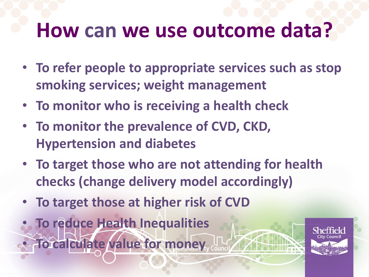# **How can we use outcome data?**

- **To refer people to appropriate services such as stop smoking services; weight management**
- **To monitor who is receiving a health check**
- **To monitor the prevalence of CVD, CKD, Hypertension and diabetes**
- **To target those who are not attending for health checks (change delivery model accordingly)**
- **To target those at higher risk of CVD**
- **To reduce Health Inequalities** • **To calculate value for money**

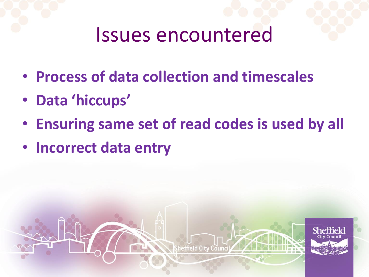### Issues encountered

- **Process of data collection and timescales**
- **Data 'hiccups'**
- **Ensuring same set of read codes is used by all**

heffield City Counci

Sheffie

• **Incorrect data entry**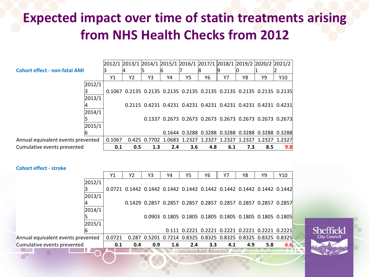#### **Expected impact over time of statin treatments arising from NHS Health Checks from 2012**

|                                      |        |        |     |     |     |     | 2012/1 2013/1 2014/1 2015/1 2016/1 2017/1 2018/1 2019/2 2020/2 2021/2 |     |               |     |                                                                       |
|--------------------------------------|--------|--------|-----|-----|-----|-----|-----------------------------------------------------------------------|-----|---------------|-----|-----------------------------------------------------------------------|
| <b>Cohort effect - non-fatal AMI</b> |        |        |     |     |     |     |                                                                       |     |               |     |                                                                       |
|                                      |        | Y1     | Υ2  | Y3  | Υ4  | Y5  | Y6                                                                    | Υ7  | Y8            | Υ9  | Y10                                                                   |
|                                      | 2012/1 |        |     |     |     |     |                                                                       |     |               |     |                                                                       |
|                                      |        |        |     |     |     |     |                                                                       |     |               |     | 0.1067 0.2135 0.2135 0.2135 0.2135 0.2135 0.2135 0.2135 0.2135 0.2135 |
|                                      | 2013/1 |        |     |     |     |     |                                                                       |     |               |     |                                                                       |
|                                      |        |        |     |     |     |     |                                                                       |     |               |     | 0.2115 0.4231 0.4231 0.4231 0.4231 0.4231 0.4231 0.4231 0.4231        |
|                                      | 2014/1 |        |     |     |     |     |                                                                       |     |               |     |                                                                       |
|                                      |        |        |     |     |     |     |                                                                       |     |               |     | 0.1337 0.2673 0.2673 0.2673 0.2673 0.2673 0.2673 0.2673               |
|                                      | 2015/1 |        |     |     |     |     |                                                                       |     |               |     |                                                                       |
|                                      |        |        |     |     |     |     |                                                                       |     |               |     | 0.1644 0.3288 0.3288 0.3288 0.3288 0.3288 0.3288                      |
| Annual equivalent events prevented   |        | 0.1067 |     |     |     |     | 0.425 0.7702 1.0683 1.2327 1.2327                                     |     | 1.2327 1.2327 |     | 1.2327 1.2327                                                         |
| Cumulative events prevented          |        | 0.1    | 0.5 | 1.3 | 2.4 | 3.6 | 4.8                                                                   | 6.1 | 7.3           | 8.5 | 9.8                                                                   |

**Cohort effect - stroke**

|                                    | Y1     | Y2  | YЗ  | Y4               | <b>Y5</b> | Y6  | Y7  | Y8  | Υ9                                                                     | Y10 |  |
|------------------------------------|--------|-----|-----|------------------|-----------|-----|-----|-----|------------------------------------------------------------------------|-----|--|
| 2012/1                             |        |     |     |                  |           |     |     |     |                                                                        |     |  |
|                                    |        |     |     |                  |           |     |     |     | 0.0721 0.1442 0.1442 0.1442 0.1442 0.1442 0.1442 0.1442 0.1442 0.1442  |     |  |
| 2013/1                             |        |     |     |                  |           |     |     |     |                                                                        |     |  |
|                                    |        |     |     |                  |           |     |     |     | 0.1429  0.2857  0.2857  0.2857  0.2857  0.2857  0.2857  0.2857  0.2857 |     |  |
| 2014/1                             |        |     |     |                  |           |     |     |     |                                                                        |     |  |
|                                    |        |     |     |                  |           |     |     |     | 0.0903 0.1805 0.1805 0.1805 0.1805 0.1805 0.1805 0.1805                |     |  |
| 2015/1                             |        |     |     |                  |           |     |     |     |                                                                        |     |  |
|                                    |        |     |     |                  |           |     |     |     | 0.111  0.2221  0.2221  0.2221  0.2221  0.2221  0.2221                  |     |  |
| Annual equivalent events prevented | 0.0721 |     |     |                  |           |     |     |     | 0.287 0.5201 0.7214 0.8325 0.8325 0.8325 0.8325 0.8325 0.8325          |     |  |
| Cumulative events prevented        | 0.1    | 0.4 | 0.9 | $1.6\phantom{0}$ | 2.4       | 3.3 | 4.1 | 4.9 | 5.8                                                                    | 6.6 |  |
|                                    |        |     |     |                  |           |     |     |     |                                                                        |     |  |

Sheffield City Counci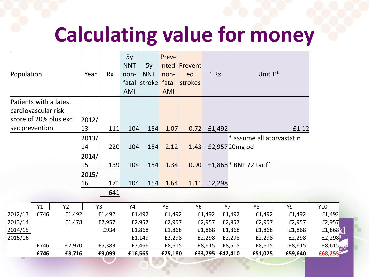# **Calculating value for money**

| Population               |      |                        | Year  | <b>Rx</b> | 5y<br><b>NNT</b><br>non-<br>fatal<br>AMI | 5y<br><b>NNT</b><br>stroke | Preve<br>nted<br>non-<br>fatal<br>AMI | Prevent<br>ed<br>strokes | £ Rx   |                 | Unit $f^*$                  |         |         |
|--------------------------|------|------------------------|-------|-----------|------------------------------------------|----------------------------|---------------------------------------|--------------------------|--------|-----------------|-----------------------------|---------|---------|
| Patients with a latest   |      |                        |       |           |                                          |                            |                                       |                          |        |                 |                             |         |         |
| cardiovascular risk      |      |                        |       |           |                                          |                            |                                       |                          |        |                 |                             |         |         |
|                          |      | score of 20% plus excl | 2012/ |           |                                          |                            |                                       |                          |        |                 |                             |         |         |
| sec prevention           |      |                        | 13    | 111       | 104                                      | 154                        | 1.07                                  | 0.72                     | £1,492 |                 |                             | £1.12   |         |
|                          |      |                        | 2013/ |           |                                          |                            |                                       |                          |        |                 | $*$ assume all atorvastatin |         |         |
|                          |      |                        | 14    | 220       | 104                                      | 154                        | 2.12                                  | 1.43                     |        | £2,957 20 mg od |                             |         |         |
|                          |      |                        | 2014/ |           |                                          |                            |                                       |                          |        |                 |                             |         |         |
|                          |      |                        | 15    | 139       | 104                                      | 154                        | 1.34                                  | 0.90                     |        |                 | £1,868 * BNF 72 tariff      |         |         |
|                          |      |                        | 2015/ |           |                                          |                            |                                       |                          |        |                 |                             |         |         |
|                          |      |                        | 16    | 171       | 104                                      | 154                        | 1.64                                  | 1.11                     | £2,298 |                 |                             |         |         |
|                          |      |                        |       | 641       |                                          |                            |                                       |                          |        |                 |                             |         |         |
|                          |      |                        |       |           |                                          |                            |                                       |                          |        |                 |                             |         |         |
|                          | Y1   | Y <sub>2</sub>         | Y3    |           | Y4                                       |                            | <b>Y5</b>                             | Y <sub>6</sub>           |        | <b>Y7</b>       | Y8                          | Y9      | Y10     |
| 2012/13                  | £746 | £1,492                 |       | £1,492    |                                          | £1,492                     | £1,492                                |                          | £1,492 | £1,492          | £1,492                      | £1,492  | £1,492  |
| 2013/14                  |      | £1,478                 |       | £2,957    |                                          | £2,957                     | £2,957                                |                          | £2,957 | £2,957          | £2,957                      | £2,957  | £2,957  |
| 2014/15                  |      |                        |       | £934      |                                          | £1,868                     | £1,868                                |                          | £1,868 | £1,868          | £1,868                      | £1,868  | £1,868  |
| 2015/16                  |      |                        |       |           |                                          | £1,149                     | £2,298                                |                          | £2,298 | £2,298          | £2,298                      | £2,298  | £2,298  |
|                          | £746 | £2,970                 |       | £5,383    |                                          | £7,466                     | £8,615                                |                          | £8,615 | £8,615          | £8,615                      | £8,615  | £8,615  |
| $\overline{\mathcal{M}}$ | £746 | £3,716                 |       | £9,099    | £16,565                                  |                            | £25,180                               |                          |        | £33,795 £42,410 | £51,025                     | £59,640 | £68,255 |
|                          |      |                        |       |           |                                          |                            |                                       |                          |        |                 |                             |         |         |